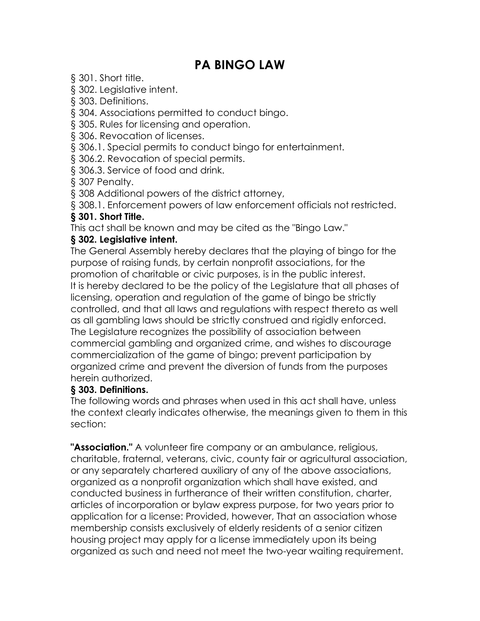# **PA BINGO LAW**

§ 301. Short title.

§ 302. Legislative intent.

§ 303. Definitions.

§ 304. Associations permitted to conduct bingo.

§ 305. Rules for licensing and operation.

§ 306. Revocation of licenses.

§ 306.1. Special permits to conduct bingo for entertainment.

§ 306.2. Revocation of special permits.

§ 306.3. Service of food and drink.

§ 307 Penalty.

§ 308 Additional powers of the district attorney,

§ 308.1. Enforcement powers of law enforcement officials not restricted.

#### **§ 301. Short Title.**

This act shall be known and may be cited as the "Bingo Law."

#### **§ 302. Legislative intent.**

The General Assembly hereby declares that the playing of bingo for the purpose of raising funds, by certain nonprofit associations, for the promotion of charitable or civic purposes, is in the public interest. It is hereby declared to be the policy of the Legislature that all phases of licensing, operation and regulation of the game of bingo be strictly controlled, and that all laws and regulations with respect thereto as well as all gambling laws should be strictly construed and rigidly enforced. The Legislature recognizes the possibility of association between commercial gambling and organized crime, and wishes to discourage commercialization of the game of bingo; prevent participation by organized crime and prevent the diversion of funds from the purposes herein authorized.

#### **§ 303. Definitions.**

The following words and phrases when used in this act shall have, unless the context clearly indicates otherwise, the meanings given to them in this section:

**"Association."** A volunteer fire company or an ambulance, religious, charitable, fraternal, veterans, civic, county fair or agricultural association, or any separately chartered auxiliary of any of the above associations, organized as a nonprofit organization which shall have existed, and conducted business in furtherance of their written constitution, charter, articles of incorporation or bylaw express purpose, for two years prior to application for a license: Provided, however, That an association whose membership consists exclusively of elderly residents of a senior citizen housing project may apply for a license immediately upon its being organized as such and need not meet the two-year waiting requirement.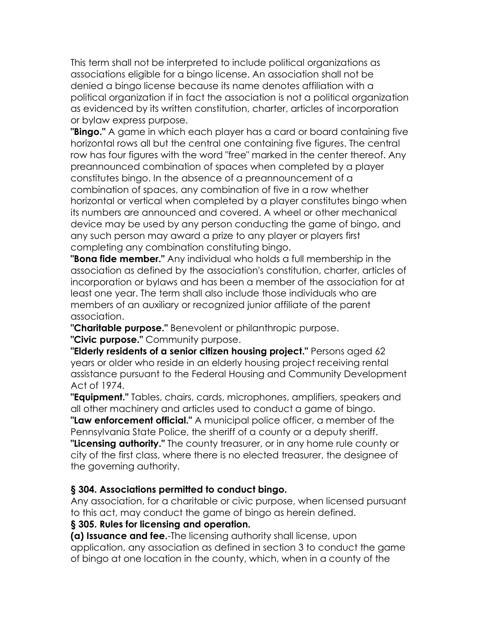This term shall not be interpreted to include political organizations as associations eligible for a bingo license. An association shall not be denied a bingo license because its name denotes affiliation with a political organization if in fact the association is not a political organization as evidenced by its written constitution, charter, articles of incorporation or bylaw express purpose.

**"Bingo."** A game in which each player has a card or board containing five horizontal rows all but the central one containing five figures. The central row has four figures with the word "free" marked in the center thereof. Any preannounced combination of spaces when completed by a player constitutes bingo. In the absence of a preannouncement of a combination of spaces, any combination of five in a row whether horizontal or vertical when completed by a player constitutes bingo when its numbers are announced and covered. A wheel or other mechanical device may be used by any person conducting the game of bingo, and any such person may award a prize to any player or players first completing any combination constituting bingo.

**"Bona fide member."** Any individual who holds a full membership in the association as defined by the association's constitution, charter, articles of incorporation or bylaws and has been a member of the association for at least one year. The term shall also include those individuals who are members of an auxiliary or recognized junior affiliate of the parent association.

**"Charitable purpose."** Benevolent or philanthropic purpose.

**"Civic purpose."** Community purpose.

**"Elderly residents of a senior citizen housing project."** Persons aged 62 years or older who reside in an elderly housing project receiving rental assistance pursuant to the Federal Housing and Community Development Act of 1974.

**"Equipment."** Tables, chairs, cards, microphones, amplifiers, speakers and all other machinery and articles used to conduct a game of bingo.

**"Law enforcement official."** A municipal police officer, a member of the Pennsylvania State Police, the sheriff of a county or a deputy sheriff.

**"Licensing authority."** The county treasurer, or in any home rule county or city of the first class, where there is no elected treasurer, the designee of the governing authority.

### **§ 304. Associations permitted to conduct bingo.**

Any association, for a charitable or civic purpose, when licensed pursuant to this act, may conduct the game of bingo as herein defined.

### **§ 305. Rules for licensing and operation.**

**(a) Issuance and fee.**-The licensing authority shall license, upon application, any association as defined in section 3 to conduct the game of bingo at one location in the county, which, when in a county of the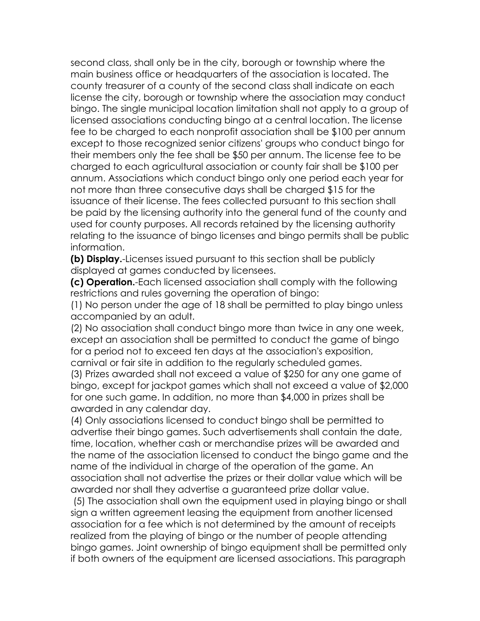second class, shall only be in the city, borough or township where the main business office or headquarters of the association is located. The county treasurer of a county of the second class shall indicate on each license the city, borough or township where the association may conduct bingo. The single municipal location limitation shall not apply to a group of licensed associations conducting bingo at a central location. The license fee to be charged to each nonprofit association shall be \$100 per annum except to those recognized senior citizens' groups who conduct bingo for their members only the fee shall be \$50 per annum. The license fee to be charged to each agricultural association or county fair shall be \$100 per annum. Associations which conduct bingo only one period each year for not more than three consecutive days shall be charged \$15 for the issuance of their license. The fees collected pursuant to this section shall be paid by the licensing authority into the general fund of the county and used for county purposes. All records retained by the licensing authority relating to the issuance of bingo licenses and bingo permits shall be public information.

**(b) Display.**-Licenses issued pursuant to this section shall be publicly displayed at games conducted by licensees.

**(c) Operation.**-Each licensed association shall comply with the following restrictions and rules governing the operation of bingo:

(1) No person under the age of 18 shall be permitted to play bingo unless accompanied by an adult.

(2) No association shall conduct bingo more than twice in any one week, except an association shall be permitted to conduct the game of bingo for a period not to exceed ten days at the association's exposition, carnival or fair site in addition to the regularly scheduled games.

(3) Prizes awarded shall not exceed a value of \$250 for any one game of bingo, except for jackpot games which shall not exceed a value of \$2,000 for one such game. In addition, no more than \$4,000 in prizes shall be awarded in any calendar day.

(4) Only associations licensed to conduct bingo shall be permitted to advertise their bingo games. Such advertisements shall contain the date, time, location, whether cash or merchandise prizes will be awarded and the name of the association licensed to conduct the bingo game and the name of the individual in charge of the operation of the game. An association shall not advertise the prizes or their dollar value which will be awarded nor shall they advertise a guaranteed prize dollar value.

(5) The association shall own the equipment used in playing bingo or shall sign a written agreement leasing the equipment from another licensed association for a fee which is not determined by the amount of receipts realized from the playing of bingo or the number of people attending bingo games. Joint ownership of bingo equipment shall be permitted only if both owners of the equipment are licensed associations. This paragraph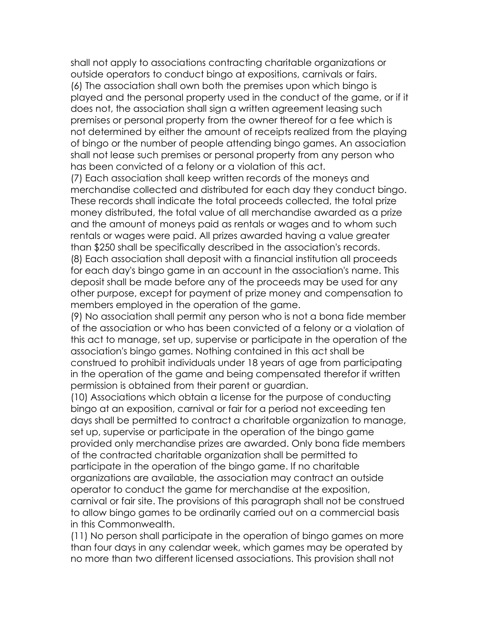shall not apply to associations contracting charitable organizations or outside operators to conduct bingo at expositions, carnivals or fairs. (6) The association shall own both the premises upon which bingo is played and the personal property used in the conduct of the game, or if it does not, the association shall sign a written agreement leasing such premises or personal property from the owner thereof for a fee which is not determined by either the amount of receipts realized from the playing of bingo or the number of people attending bingo games. An association shall not lease such premises or personal property from any person who has been convicted of a felony or a violation of this act.

(7) Each association shall keep written records of the moneys and merchandise collected and distributed for each day they conduct bingo. These records shall indicate the total proceeds collected, the total prize money distributed, the total value of all merchandise awarded as a prize and the amount of moneys paid as rentals or wages and to whom such rentals or wages were paid. All prizes awarded having a value greater than \$250 shall be specifically described in the association's records.

(8) Each association shall deposit with a financial institution all proceeds for each day's bingo game in an account in the association's name. This deposit shall be made before any of the proceeds may be used for any other purpose, except for payment of prize money and compensation to members employed in the operation of the game.

(9) No association shall permit any person who is not a bona fide member of the association or who has been convicted of a felony or a violation of this act to manage, set up, supervise or participate in the operation of the association's bingo games. Nothing contained in this act shall be construed to prohibit individuals under 18 years of age from participating in the operation of the game and being compensated therefor if written permission is obtained from their parent or guardian.

(10) Associations which obtain a license for the purpose of conducting bingo at an exposition, carnival or fair for a period not exceeding ten days shall be permitted to contract a charitable organization to manage, set up, supervise or participate in the operation of the bingo game provided only merchandise prizes are awarded. Only bona fide members of the contracted charitable organization shall be permitted to participate in the operation of the bingo game. If no charitable organizations are available, the association may contract an outside operator to conduct the game for merchandise at the exposition, carnival or fair site. The provisions of this paragraph shall not be construed to allow bingo games to be ordinarily carried out on a commercial basis in this Commonwealth.

(11) No person shall participate in the operation of bingo games on more than four days in any calendar week, which games may be operated by no more than two different licensed associations. This provision shall not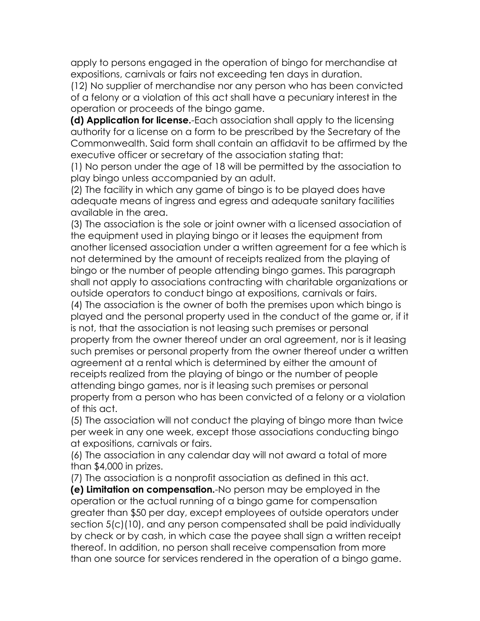apply to persons engaged in the operation of bingo for merchandise at expositions, carnivals or fairs not exceeding ten days in duration.

(12) No supplier of merchandise nor any person who has been convicted of a felony or a violation of this act shall have a pecuniary interest in the operation or proceeds of the bingo game.

**(d) Application for license.**-Each association shall apply to the licensing authority for a license on a form to be prescribed by the Secretary of the Commonwealth. Said form shall contain an affidavit to be affirmed by the executive officer or secretary of the association stating that:

(1) No person under the age of 18 will be permitted by the association to play bingo unless accompanied by an adult.

(2) The facility in which any game of bingo is to be played does have adequate means of ingress and egress and adequate sanitary facilities available in the area.

(3) The association is the sole or joint owner with a licensed association of the equipment used in playing bingo or it leases the equipment from another licensed association under a written agreement for a fee which is not determined by the amount of receipts realized from the playing of bingo or the number of people attending bingo games. This paragraph shall not apply to associations contracting with charitable organizations or outside operators to conduct bingo at expositions, carnivals or fairs.

(4) The association is the owner of both the premises upon which bingo is played and the personal property used in the conduct of the game or, if it is not, that the association is not leasing such premises or personal property from the owner thereof under an oral agreement, nor is it leasing such premises or personal property from the owner thereof under a written agreement at a rental which is determined by either the amount of receipts realized from the playing of bingo or the number of people attending bingo games, nor is it leasing such premises or personal property from a person who has been convicted of a felony or a violation of this act.

(5) The association will not conduct the playing of bingo more than twice per week in any one week, except those associations conducting bingo at expositions, carnivals or fairs.

(6) The association in any calendar day will not award a total of more than \$4,000 in prizes.

(7) The association is a nonprofit association as defined in this act.

**(e) Limitation on compensation.**-No person may be employed in the operation or the actual running of a bingo game for compensation greater than \$50 per day, except employees of outside operators under section 5(c)(10), and any person compensated shall be paid individually by check or by cash, in which case the payee shall sign a written receipt thereof. In addition, no person shall receive compensation from more than one source for services rendered in the operation of a bingo game.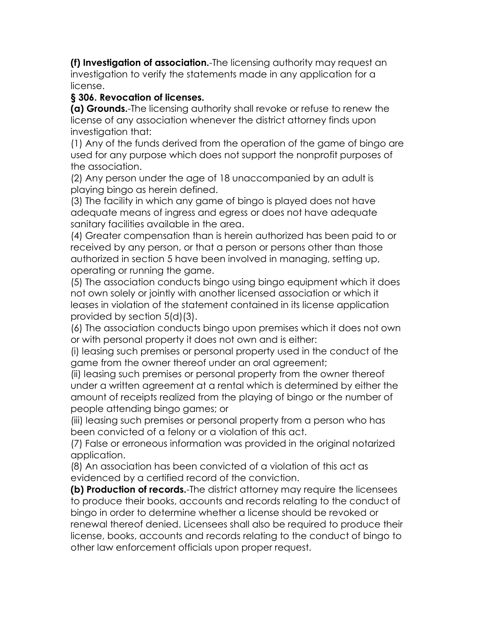**(f) Investigation of association.**-The licensing authority may request an investigation to verify the statements made in any application for a license.

#### **§ 306. Revocation of licenses.**

**(a) Grounds.**-The licensing authority shall revoke or refuse to renew the license of any association whenever the district attorney finds upon investigation that:

(1) Any of the funds derived from the operation of the game of bingo are used for any purpose which does not support the nonprofit purposes of the association.

(2) Any person under the age of 18 unaccompanied by an adult is playing bingo as herein defined.

(3) The facility in which any game of bingo is played does not have adequate means of ingress and egress or does not have adequate sanitary facilities available in the area.

(4) Greater compensation than is herein authorized has been paid to or received by any person, or that a person or persons other than those authorized in section 5 have been involved in managing, setting up, operating or running the game.

(5) The association conducts bingo using bingo equipment which it does not own solely or jointly with another licensed association or which it leases in violation of the statement contained in its license application provided by section 5(d)(3).

(6) The association conducts bingo upon premises which it does not own or with personal property it does not own and is either:

(i) leasing such premises or personal property used in the conduct of the game from the owner thereof under an oral agreement;

(ii) leasing such premises or personal property from the owner thereof under a written agreement at a rental which is determined by either the amount of receipts realized from the playing of bingo or the number of people attending bingo games; or

(iii) leasing such premises or personal property from a person who has been convicted of a felony or a violation of this act.

(7) False or erroneous information was provided in the original notarized application.

(8) An association has been convicted of a violation of this act as evidenced by a certified record of the conviction.

**(b) Production of records.**-The district attorney may require the licensees to produce their books, accounts and records relating to the conduct of bingo in order to determine whether a license should be revoked or renewal thereof denied. Licensees shall also be required to produce their license, books, accounts and records relating to the conduct of bingo to other law enforcement officials upon proper request.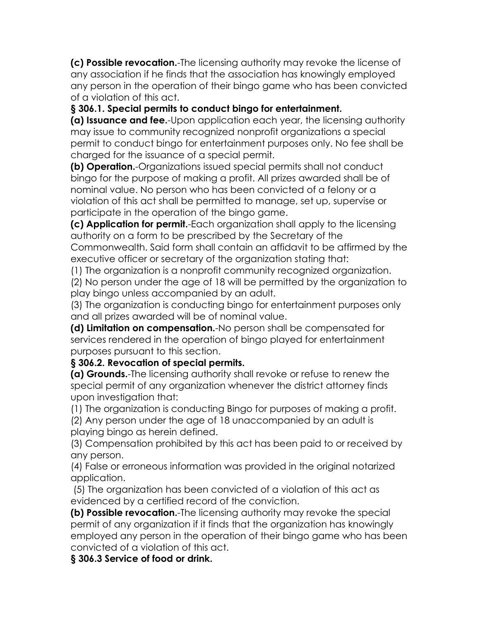**(c) Possible revocation.**-The licensing authority may revoke the license of any association if he finds that the association has knowingly employed any person in the operation of their bingo game who has been convicted of a violation of this act.

**§ 306.1. Special permits to conduct bingo for entertainment.**

**(a) Issuance and fee.**-Upon application each year, the licensing authority may issue to community recognized nonprofit organizations a special permit to conduct bingo for entertainment purposes only. No fee shall be charged for the issuance of a special permit.

**(b) Operation.**-Organizations issued special permits shall not conduct bingo for the purpose of making a profit. All prizes awarded shall be of nominal value. No person who has been convicted of a felony or a violation of this act shall be permitted to manage, set up, supervise or participate in the operation of the bingo game.

**(c) Application for permit.**-Each organization shall apply to the licensing authority on a form to be prescribed by the Secretary of the Commonwealth. Said form shall contain an affidavit to be affirmed by the executive officer or secretary of the organization stating that:

(1) The organization is a nonprofit community recognized organization.

(2) No person under the age of 18 will be permitted by the organization to play bingo unless accompanied by an adult.

(3) The organization is conducting bingo for entertainment purposes only and all prizes awarded will be of nominal value.

**(d) Limitation on compensation.**-No person shall be compensated for services rendered in the operation of bingo played for entertainment purposes pursuant to this section.

**§ 306.2. Revocation of special permits.**

**(a) Grounds.**-The licensing authority shall revoke or refuse to renew the special permit of any organization whenever the district attorney finds upon investigation that:

(1) The organization is conducting Bingo for purposes of making a profit.

(2) Any person under the age of 18 unaccompanied by an adult is playing bingo as herein defined.

(3) Compensation prohibited by this act has been paid to or received by any person.

(4) False or erroneous information was provided in the original notarized application.

(5) The organization has been convicted of a violation of this act as evidenced by a certified record of the conviction.

**(b) Possible revocation.**-The licensing authority may revoke the special permit of any organization if it finds that the organization has knowingly employed any person in the operation of their bingo game who has been convicted of a violation of this act.

**§ 306.3 Service of food or drink.**